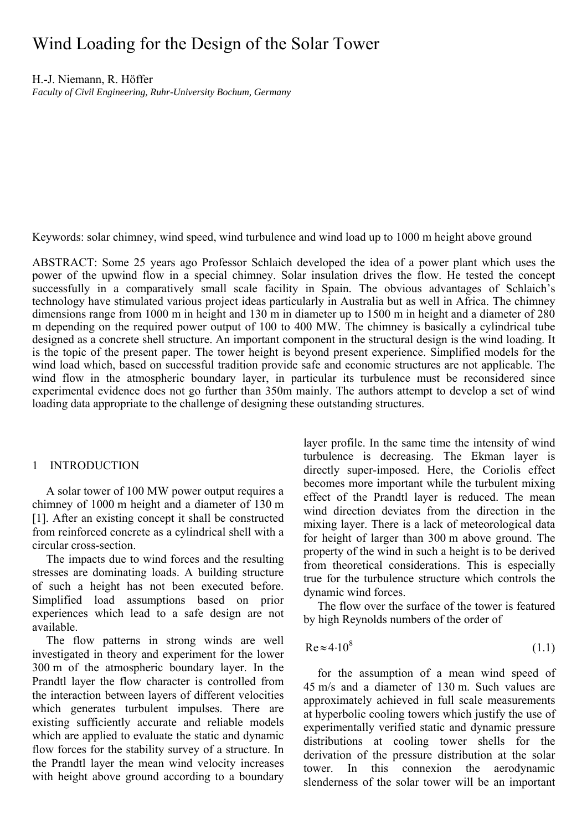# Wind Loading for the Design of the Solar Tower

H.-J. Niemann, R. Höffer

*Faculty of Civil Engineering, Ruhr-University Bochum, Germany* 

Keywords: solar chimney, wind speed, wind turbulence and wind load up to 1000 m height above ground

ABSTRACT: Some 25 years ago Professor Schlaich developed the idea of a power plant which uses the power of the upwind flow in a special chimney. Solar insulation drives the flow. He tested the concept successfully in a comparatively small scale facility in Spain. The obvious advantages of Schlaich's technology have stimulated various project ideas particularly in Australia but as well in Africa. The chimney dimensions range from 1000 m in height and 130 m in diameter up to 1500 m in height and a diameter of 280 m depending on the required power output of 100 to 400 MW. The chimney is basically a cylindrical tube designed as a concrete shell structure. An important component in the structural design is the wind loading. It is the topic of the present paper. The tower height is beyond present experience. Simplified models for the wind load which, based on successful tradition provide safe and economic structures are not applicable. The wind flow in the atmospheric boundary layer, in particular its turbulence must be reconsidered since experimental evidence does not go further than 350m mainly. The authors attempt to develop a set of wind loading data appropriate to the challenge of designing these outstanding structures.

# 1 INTRODUCTION

A solar tower of 100 MW power output requires a chimney of 1000 m height and a diameter of 130 m [1]. After an existing concept it shall be constructed from reinforced concrete as a cylindrical shell with a circular cross-section.

The impacts due to wind forces and the resulting stresses are dominating loads. A building structure of such a height has not been executed before. Simplified load assumptions based on prior experiences which lead to a safe design are not available.

The flow patterns in strong winds are well investigated in theory and experiment for the lower 300 m of the atmospheric boundary layer. In the Prandtl layer the flow character is controlled from the interaction between layers of different velocities which generates turbulent impulses. There are existing sufficiently accurate and reliable models which are applied to evaluate the static and dynamic flow forces for the stability survey of a structure. In the Prandtl layer the mean wind velocity increases with height above ground according to a boundary

layer profile. In the same time the intensity of wind turbulence is decreasing. The Ekman layer is directly super-imposed. Here, the Coriolis effect becomes more important while the turbulent mixing effect of the Prandtl layer is reduced. The mean wind direction deviates from the direction in the mixing layer. There is a lack of meteorological data for height of larger than 300 m above ground. The property of the wind in such a height is to be derived from theoretical considerations. This is especially true for the turbulence structure which controls the dynamic wind forces.

The flow over the surface of the tower is featured by high Reynolds numbers of the order of

$$
Re \approx 4.10^8 \tag{1.1}
$$

for the assumption of a mean wind speed of 45 m/s and a diameter of 130 m. Such values are approximately achieved in full scale measurements at hyperbolic cooling towers which justify the use of experimentally verified static and dynamic pressure distributions at cooling tower shells for the derivation of the pressure distribution at the solar tower. In this connexion the aerodynamic slenderness of the solar tower will be an important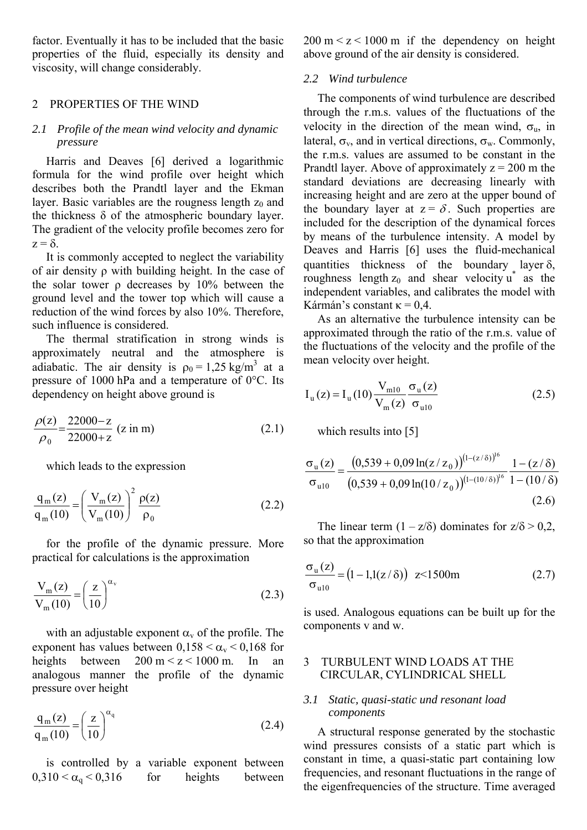factor. Eventually it has to be included that the basic properties of the fluid, especially its density and viscosity, will change considerably.

# 2 PROPERTIES OF THE WIND

# *2.1 Profile of the mean wind velocity and dynamic pressure*

Harris and Deaves [6] derived a logarithmic formula for the wind profile over height which describes both the Prandtl layer and the Ekman layer. Basic variables are the rougness length  $z_0$  and the thickness  $\delta$  of the atmospheric boundary layer. The gradient of the velocity profile becomes zero for  $z = \delta$ .

It is commonly accepted to neglect the variability of air density ρ with building height. In the case of the solar tower ρ decreases by 10% between the ground level and the tower top which will cause a reduction of the wind forces by also 10%. Therefore, such influence is considered.

The thermal stratification in strong winds is approximately neutral and the atmosphere is adiabatic. The air density is  $\rho_0 = 1.25 \text{ kg/m}^3$  at a pressure of 1000 hPa and a temperature of 0°C. Its dependency on height above ground is

$$
\frac{\rho(z)}{\rho_0} = \frac{22000 - z}{22000 + z} \text{ (z in m)}
$$
 (2.1)

which leads to the expression

$$
\frac{q_m(z)}{q_m(10)} = \left(\frac{V_m(z)}{V_m(10)}\right)^2 \frac{\rho(z)}{\rho_0}
$$
\n(2.2)

for the profile of the dynamic pressure. More practical for calculations is the approximation

$$
\frac{V_m(z)}{V_m(10)} = \left(\frac{z}{10}\right)^{\alpha_v}
$$
\n(2.3)

with an adjustable exponent  $\alpha_{v}$  of the profile. The exponent has values between  $0,158 < \alpha_{\rm v} < 0,168$  for heights between  $200 \text{ m} < z < 1000 \text{ m}$ . In an analogous manner the profile of the dynamic pressure over height

$$
\frac{\mathbf{q}_{\mathrm{m}}(z)}{\mathbf{q}_{\mathrm{m}}(10)} = \left(\frac{z}{10}\right)^{\alpha_{\mathrm{q}}}
$$
\n(2.4)

is controlled by a variable exponent between  $0,310 < \alpha_{q} < 0,316$  for heights between

 $200 \text{ m} < z < 1000 \text{ m}$  if the dependency on height above ground of the air density is considered.

#### *2.2 Wind turbulence*

The components of wind turbulence are described through the r.m.s. values of the fluctuations of the velocity in the direction of the mean wind,  $\sigma_{\rm u}$ , in lateral,  $\sigma_v$ , and in vertical directions,  $\sigma_w$ . Commonly, the r.m.s. values are assumed to be constant in the Prandtl layer. Above of approximately  $z = 200$  m the standard deviations are decreasing linearly with increasing height and are zero at the upper bound of the boundary layer at  $z = \delta$ . Such properties are included for the description of the dynamical forces by means of the turbulence intensity. A model by Deaves and Harris [6] uses the fluid-mechanical quantities thickness of the boundary layer  $\delta$ , roughness length  $z_0$  and shear velocity  $u^*$  as the independent variables, and calibrates the model with Kármán's constant  $\kappa$  = 0.4.

As an alternative the turbulence intensity can be approximated through the ratio of the r.m.s. value of the fluctuations of the velocity and the profile of the mean velocity over height.

$$
I_{u}(z) = I_{u}(10) \frac{V_{m10}}{V_{m}(z)} \frac{\sigma_{u}(z)}{\sigma_{u10}}
$$
 (2.5)

which results into [5]

$$
\frac{\sigma_{\rm u}(z)}{\sigma_{\rm u10}} = \frac{(0.539 + 0.09 \ln(z/z_0))^{(1 - (z/\delta))^{16}}}{(0.539 + 0.09 \ln(10/z_0))^{(1 - (10/\delta))^{16}}} \frac{1 - (z/\delta)}{1 - (10/\delta)}
$$
\n(2.6)

The linear term  $(1 - z/\delta)$  dominates for  $z/\delta > 0.2$ , so that the approximation

$$
\frac{\sigma_{\rm u}(z)}{\sigma_{\rm u10}} = (1 - 1.1(z/\delta)) \ \ z \le 1500 \,\text{m} \tag{2.7}
$$

is used. Analogous equations can be built up for the components v and w.

# 3 TURBULENT WIND LOADS AT THE CIRCULAR, CYLINDRICAL SHELL

### *3.1 Static, quasi-static und resonant load components*

A structural response generated by the stochastic wind pressures consists of a static part which is constant in time, a quasi-static part containing low frequencies, and resonant fluctuations in the range of the eigenfrequencies of the structure. Time averaged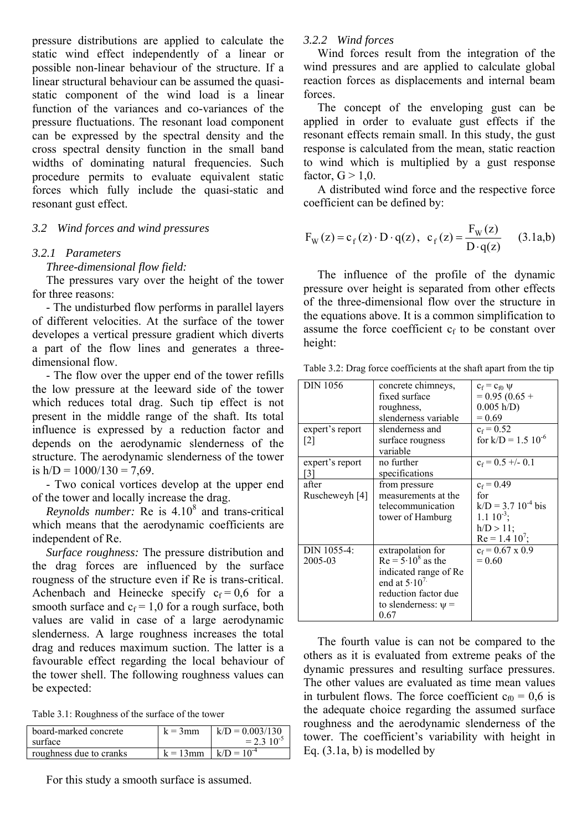pressure distributions are applied to calculate the static wind effect independently of a linear or possible non-linear behaviour of the structure. If a linear structural behaviour can be assumed the quasistatic component of the wind load is a linear function of the variances and co-variances of the pressure fluctuations. The resonant load component can be expressed by the spectral density and the cross spectral density function in the small band widths of dominating natural frequencies. Such procedure permits to evaluate equivalent static forces which fully include the quasi-static and resonant gust effect.

# *3.2 Wind forces and wind pressures*

# *3.2.1 Parameters*

*Three-dimensional flow field:* 

The pressures vary over the height of the tower for three reasons:

- The undisturbed flow performs in parallel layers of different velocities. At the surface of the tower developes a vertical pressure gradient which diverts a part of the flow lines and generates a threedimensional flow.

- The flow over the upper end of the tower refills the low pressure at the leeward side of the tower which reduces total drag. Such tip effect is not present in the middle range of the shaft. Its total influence is expressed by a reduction factor and depends on the aerodynamic slenderness of the structure. The aerodynamic slenderness of the tower is  $h/D = 1000/130 = 7.69$ .

- Two conical vortices develop at the upper end of the tower and locally increase the drag.

Reynolds number: Re is 4.10<sup>8</sup> and trans-critical which means that the aerodynamic coefficients are independent of Re.

*Surface roughness:* The pressure distribution and the drag forces are influenced by the surface rougness of the structure even if Re is trans-critical. Achenbach and Heinecke specify  $c_f = 0.6$  for a smooth surface and  $c_f = 1.0$  for a rough surface, both values are valid in case of a large aerodynamic slenderness. A large roughness increases the total drag and reduces maximum suction. The latter is a favourable effect regarding the local behaviour of the tower shell. The following roughness values can be expected:

Table 3.1: Roughness of the surface of the tower

| board-marked concrete   | $k = 3$ mm  | $k/D = 0.003/130$ |
|-------------------------|-------------|-------------------|
| surface                 |             | $= 2.3 10^{-5}$   |
| roughness due to cranks | $k = 13$ mm | $k/D = 10^{-4}$   |

For this study a smooth surface is assumed.

#### *3.2.2 Wind forces*

Wind forces result from the integration of the wind pressures and are applied to calculate global reaction forces as displacements and internal beam forces.

The concept of the enveloping gust can be applied in order to evaluate gust effects if the resonant effects remain small. In this study, the gust response is calculated from the mean, static reaction to wind which is multiplied by a gust response factor,  $G > 1.0$ .

A distributed wind force and the respective force coefficient can be defined by:

$$
F_{W}(z) = c_{f}(z) \cdot D \cdot q(z), \ c_{f}(z) = \frac{F_{W}(z)}{D \cdot q(z)} \qquad (3.1a,b)
$$

The influence of the profile of the dynamic pressure over height is separated from other effects of the three-dimensional flow over the structure in the equations above. It is a common simplification to assume the force coefficient  $c_f$  to be constant over height:

| <b>DIN 1056</b><br>expert's report<br>$\lfloor 2 \rfloor$ | concrete chimneys,<br>fixed surface<br>roughness,<br>slenderness variable<br>slenderness and<br>surface rougness                                          | $c_f = c_{f0} \psi$<br>$= 0.95(0.65 +$<br>0.005 h/D<br>$= 0.69$<br>$c_f = 0.52$<br>for $k/D = 1.5 \, 10^{-6}$ |
|-----------------------------------------------------------|-----------------------------------------------------------------------------------------------------------------------------------------------------------|---------------------------------------------------------------------------------------------------------------|
| expert's report                                           | variable<br>no further                                                                                                                                    | $c_f = 0.5 + 0.1$                                                                                             |
| [3]<br>after<br>Ruscheweyh [4]                            | specifications<br>from pressure<br>measurements at the<br>telecommunication<br>tower of Hamburg                                                           | $c_f = 0.49$<br>for<br>$k/D = 3.7 10^{-4}$ bis<br>$1.1 \, 10^{-3}$ ;<br>$h/D > 11$ ;<br>$Re = 1.4 10^{7}$ ;   |
| DIN 1055-4:<br>2005-03                                    | extrapolation for<br>$Re = 5.10^8$ as the<br>indicated range of Re<br>end at $5 \cdot 10^{7}$<br>reduction factor due<br>to slenderness: $\psi$ =<br>0.67 | $c_f$ = 0.67 x 0.9<br>$= 0.60$                                                                                |

Table 3.2: Drag force coefficients at the shaft apart from the tip

The fourth value is can not be compared to the others as it is evaluated from extreme peaks of the dynamic pressures and resulting surface pressures. The other values are evaluated as time mean values in turbulent flows. The force coefficient  $c_{f0} = 0.6$  is the adequate choice regarding the assumed surface roughness and the aerodynamic slenderness of the tower. The coefficient's variability with height in Eq. (3.1a, b) is modelled by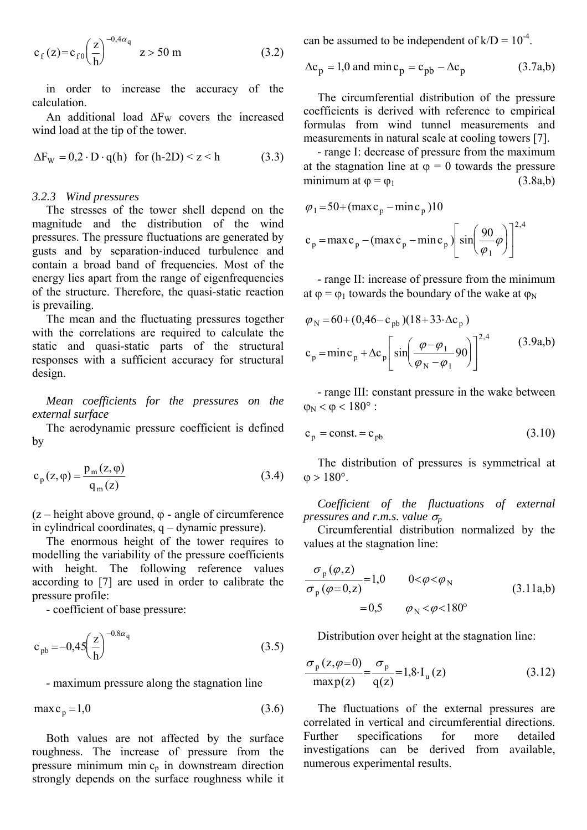$$
c_f(z) = c_{f0} \left(\frac{z}{h}\right)^{-0.4\alpha_q} \quad z > 50 \text{ m} \tag{3.2}
$$

in order to increase the accuracy of the calculation.

An additional load  $\Delta F_W$  covers the increased wind load at the tip of the tower.

$$
\Delta F_W = 0.2 \cdot D \cdot q(h) \quad \text{for } (h\text{-}2D) \le z \le h \tag{3.3}
$$

#### *3.2.3 Wind pressures*

The stresses of the tower shell depend on the magnitude and the distribution of the wind pressures. The pressure fluctuations are generated by gusts and by separation-induced turbulence and contain a broad band of frequencies. Most of the energy lies apart from the range of eigenfrequencies of the structure. Therefore, the quasi-static reaction is prevailing.

The mean and the fluctuating pressures together with the correlations are required to calculate the static and quasi-static parts of the structural responses with a sufficient accuracy for structural design.

*Mean coefficients for the pressures on the external surface*

The aerodynamic pressure coefficient is defined by

$$
c_p(z, \varphi) = \frac{p_m(z, \varphi)}{q_m(z)}
$$
(3.4)

 $(z - \text{height above ground}, \varphi - \text{angle of circumference}$ in cylindrical coordinates, q – dynamic pressure).

The enormous height of the tower requires to modelling the variability of the pressure coefficients with height. The following reference values according to [7] are used in order to calibrate the pressure profile:

- coefficient of base pressure:

$$
c_{pb} = -0.45 \left(\frac{z}{h}\right)^{-0.8\alpha_{q}}
$$
 (3.5)

- maximum pressure along the stagnation line

$$
\max c_p = 1.0 \tag{3.6}
$$

Both values are not affected by the surface roughness. The increase of pressure from the pressure minimum min  $c_p$  in downstream direction strongly depends on the surface roughness while it can be assumed to be independent of  $k/D = 10^{-4}$ .

$$
\Delta c_p = 1.0 \text{ and } \min c_p = c_{pb} - \Delta c_p \tag{3.7a,b}
$$

The circumferential distribution of the pressure coefficients is derived with reference to empirical formulas from wind tunnel measurements and measurements in natural scale at cooling towers [7].

- range I: decrease of pressure from the maximum at the stagnation line at  $\varphi = 0$  towards the pressure minimum at  $\varphi = \varphi_1$  (3.8a,b)

$$
\varphi_1 = 50 + (\max c_p - \min c_p)10
$$
  
\n
$$
c_p = \max c_p - (\max c_p - \min c_p) \left[ \sin \left( \frac{90}{\varphi_1} \varphi \right) \right]^{2,4}
$$

- range II: increase of pressure from the minimum at  $\varphi = \varphi_1$  towards the boundary of the wake at  $\varphi_N$ 

$$
\varphi_{N} = 60 + (0,46 - c_{pb})(18 + 33 \cdot \Delta c_{p})
$$
  

$$
c_{p} = \min c_{p} + \Delta c_{p} \left[ \sin \left( \frac{\varphi - \varphi_{1}}{\varphi_{N} - \varphi_{1}} 90 \right) \right]^{2,4} \qquad (3.9a,b)
$$

- range III: constant pressure in the wake between  $\omega_{\rm N}$  <  $\omega$  < 180°:

$$
c_p = const. = c_{pb} \tag{3.10}
$$

The distribution of pressures is symmetrical at  $\phi > 180^{\circ}$ .

*Coefficient of the fluctuations of external pressures and r.m.s. value*  $\sigma_p$ 

Circumferential distribution normalized by the values at the stagnation line:

$$
\frac{\sigma_{\rm p}(\varphi, z)}{\sigma_{\rm p}(\varphi = 0, z)} = 1,0 \qquad 0 < \varphi < \varphi_{\rm N}
$$
\n
$$
= 0,5 \qquad \varphi_{\rm N} < \varphi < 180^{\circ}
$$
\n(3.11a,b)

Distribution over height at the stagnation line:

$$
\frac{\sigma_{p}(z,\varphi=0)}{\max p(z)} = \frac{\sigma_{p}}{q(z)} = 1,8 \cdot I_{u}(z)
$$
\n(3.12)

The fluctuations of the external pressures are correlated in vertical and circumferential directions. Further specifications for more detailed investigations can be derived from available, numerous experimental results.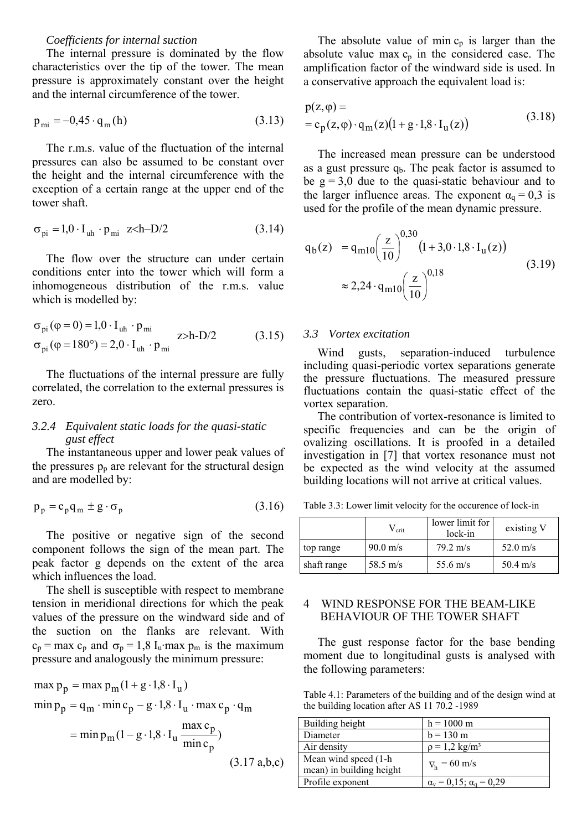## *Coefficients for internal suction*

The internal pressure is dominated by the flow characteristics over the tip of the tower. The mean pressure is approximately constant over the height and the internal circumference of the tower.

$$
\mathbf{p}_{\rm mi} = -0.45 \cdot \mathbf{q}_{\rm m}(\mathbf{h})\tag{3.13}
$$

The r.m.s. value of the fluctuation of the internal pressures can also be assumed to be constant over the height and the internal circumference with the exception of a certain range at the upper end of the tower shaft.

$$
\sigma_{\text{pi}} = 1.0 \cdot I_{\text{uh}} \cdot p_{\text{mi}} \quad z \langle h - D/2 \tag{3.14}
$$

The flow over the structure can under certain conditions enter into the tower which will form a inhomogeneous distribution of the r.m.s. value which is modelled by:

$$
\begin{aligned}\n\sigma_{\text{pi}}(\varphi = 0) &= 1.0 \cdot I_{\text{uh}} \cdot p_{\text{mi}} \\
\sigma_{\text{pi}}(\varphi = 180^\circ) &= 2.0 \cdot I_{\text{uh}} \cdot p_{\text{mi}} \quad z > h \cdot D/2\n\end{aligned} \tag{3.15}
$$

The fluctuations of the internal pressure are fully correlated, the correlation to the external pressures is zero.

# *3.2.4 Equivalent static loads for the quasi-static gust effect*

The instantaneous upper and lower peak values of the pressures  $p_p$  are relevant for the structural design and are modelled by:

$$
p_p = c_p q_m \pm g \cdot \sigma_p \tag{3.16}
$$

The positive or negative sign of the second component follows the sign of the mean part. The peak factor g depends on the extent of the area which influences the load.

The shell is susceptible with respect to membrane tension in meridional directions for which the peak values of the pressure on the windward side and of the suction on the flanks are relevant. With  $c_p = \max_{p_p} c_p$  and  $\sigma_p = 1.8$  I<sub>u</sub>·max  $p_m$  is the maximum pressure and analogously the minimum pressure:

$$
\max p_p = \max p_m (1 + g \cdot 1, 8 \cdot I_u)
$$
  

$$
\min p_p = q_m \cdot \min c_p - g \cdot 1, 8 \cdot I_u \cdot \max c_p \cdot q_m
$$

$$
= \min p_{m} (1 - g \cdot 1,8 \cdot I_{u} \frac{\max c_{p}}{\min c_{p}})
$$
\n(3.17 a.b.c)

The absolute value of min  $c_p$  is larger than the absolute value max  $c_p$  in the considered case. The amplification factor of the windward side is used. In a conservative approach the equivalent load is:

$$
p(z, \varphi) == c_p(z, \varphi) \cdot q_m(z) (1 + g \cdot 1, 8 \cdot I_u(z))
$$
 (3.18)

The increased mean pressure can be understood as a gust pressure  $q<sub>b</sub>$ . The peak factor is assumed to be  $g = 3.0$  due to the quasi-static behaviour and to the larger influence areas. The exponent  $\alpha_{q} = 0.3$  is used for the profile of the mean dynamic pressure.

$$
q_b(z) = q_{m10} \left(\frac{z}{10}\right)^{0,30} \left(1 + 3, 0.1, 8 \cdot I_u(z)\right)
$$
  

$$
\approx 2,24 \cdot q_{m10} \left(\frac{z}{10}\right)^{0,18} \tag{3.19}
$$

# *3.3 Vortex excitation*

Wind gusts, separation-induced turbulence including quasi-periodic vortex separations generate the pressure fluctuations. The measured pressure fluctuations contain the quasi-static effect of the vortex separation.

The contribution of vortex-resonance is limited to specific frequencies and can be the origin of ovalizing oscillations. It is proofed in a detailed investigation in [7] that vortex resonance must not be expected as the wind velocity at the assumed building locations will not arrive at critical values.

Table 3.3: Lower limit velocity for the occurence of lock-in

|             | $V_{\rm crit}$     | lower limit for<br>lock-in | existing V         |
|-------------|--------------------|----------------------------|--------------------|
| top range   | $90.0 \text{ m/s}$ | $79.2 \text{ m/s}$         | 52.0 m/s           |
| shaft range | 58.5 m/s           | 55.6 m/s                   | $50.4 \text{ m/s}$ |

# 4 WIND RESPONSE FOR THE BEAM-LIKE BEHAVIOUR OF THE TOWER SHAFT

The gust response factor for the base bending moment due to longitudinal gusts is analysed with the following parameters:

Table 4.1: Parameters of the building and of the design wind at the building location after AS 11 70.2 -1989

| Building height                                   | $h = 1000$ m                              |
|---------------------------------------------------|-------------------------------------------|
| Diameter                                          | $b = 130$ m                               |
| Air density                                       | $p = 1.2$ kg/m <sup>3</sup>               |
| Mean wind speed (1-h)<br>mean) in building height | $\overline{V}_h$ = 60 m/s                 |
| Profile exponent                                  | $\alpha_{v} = 0.15$ ; $\alpha_{q} = 0.29$ |